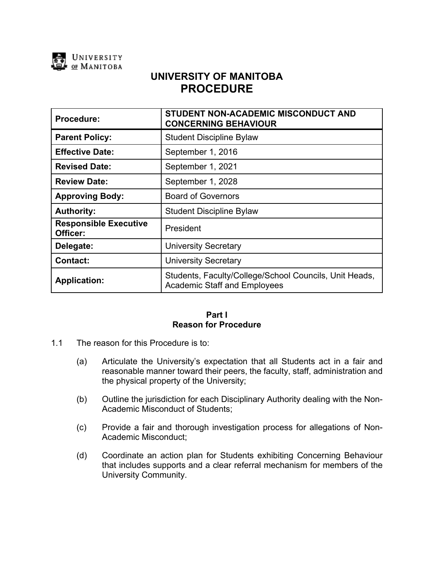

# **UNIVERSITY OF MANITOBA PROCEDURE**

| Procedure:                               | <b>STUDENT NON-ACADEMIC MISCONDUCT AND</b><br><b>CONCERNING BEHAVIOUR</b>                     |
|------------------------------------------|-----------------------------------------------------------------------------------------------|
| <b>Parent Policy:</b>                    | <b>Student Discipline Bylaw</b>                                                               |
| <b>Effective Date:</b>                   | September 1, 2016                                                                             |
| <b>Revised Date:</b>                     | September 1, 2021                                                                             |
| <b>Review Date:</b>                      | September 1, 2028                                                                             |
| <b>Approving Body:</b>                   | <b>Board of Governors</b>                                                                     |
| <b>Authority:</b>                        | <b>Student Discipline Bylaw</b>                                                               |
| <b>Responsible Executive</b><br>Officer: | President                                                                                     |
| Delegate:                                | <b>University Secretary</b>                                                                   |
| <b>Contact:</b>                          | <b>University Secretary</b>                                                                   |
| <b>Application:</b>                      | Students, Faculty/College/School Councils, Unit Heads,<br><b>Academic Staff and Employees</b> |

# **Part I Reason for Procedure**

- 1.1 The reason for this Procedure is to:
	- (a) Articulate the University's expectation that all Students act in a fair and reasonable manner toward their peers, the faculty, staff, administration and the physical property of the University;
	- (b) Outline the jurisdiction for each Disciplinary Authority dealing with the Non-Academic Misconduct of Students;
	- (c) Provide a fair and thorough investigation process for allegations of Non-Academic Misconduct;
	- (d) Coordinate an action plan for Students exhibiting Concerning Behaviour that includes supports and a clear referral mechanism for members of the University Community.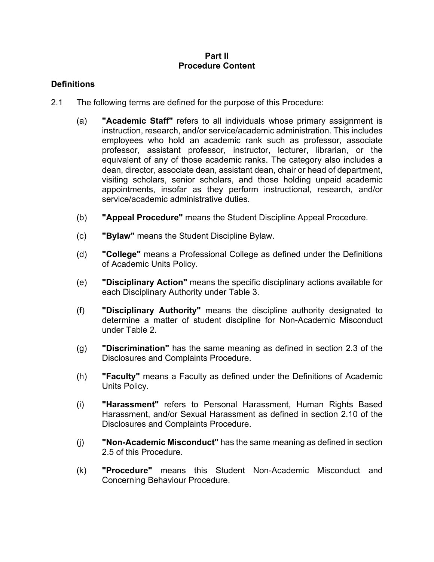#### **Part II Procedure Content**

# **Definitions**

- 2.1 The following terms are defined for the purpose of this Procedure:
	- (a) **"Academic Staff"** refers to all individuals whose primary assignment is instruction, research, and/or service/academic administration. This includes employees who hold an academic rank such as professor, associate professor, assistant professor, instructor, lecturer, librarian, or the equivalent of any of those academic ranks. The category also includes a dean, director, associate dean, assistant dean, chair or head of department, visiting scholars, senior scholars, and those holding unpaid academic appointments, insofar as they perform instructional, research, and/or service/academic administrative duties.
	- (b) **"Appeal Procedure"** means the Student Discipline Appeal Procedure.
	- (c) **"Bylaw"** means the Student Discipline Bylaw.
	- (d) **"College"** means a Professional College as defined under the Definitions of Academic Units Policy.
	- (e) **"Disciplinary Action"** means the specific disciplinary actions available for each Disciplinary Authority under Table 3.
	- (f) **"Disciplinary Authority"** means the discipline authority designated to determine a matter of student discipline for Non-Academic Misconduct under Table 2.
	- (g) **"Discrimination"** has the same meaning as defined in section 2.3 of the Disclosures and Complaints Procedure.
	- (h) **"Faculty"** means a Faculty as defined under the Definitions of Academic Units Policy.
	- (i) **"Harassment"** refers to Personal Harassment, Human Rights Based Harassment, and/or Sexual Harassment as defined in section 2.10 of the Disclosures and Complaints Procedure.
	- (j) **"Non-Academic Misconduct"** has the same meaning as defined in section 2.5 of this Procedure.
	- (k) **"Procedure"** means this Student Non-Academic Misconduct and Concerning Behaviour Procedure.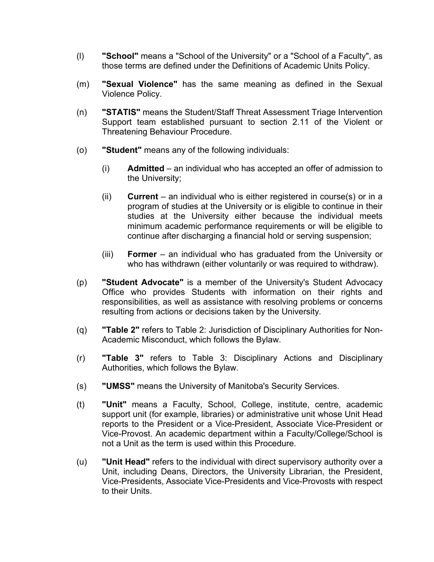- (l) **"School"** means a "School of the University" or a "School of a Faculty", as those terms are defined under the Definitions of Academic Units Policy.
- (m) **"Sexual Violence"** has the same meaning as defined in the Sexual Violence Policy.
- (n) **"STATIS"** means the Student/Staff Threat Assessment Triage Intervention Support team established pursuant to section 2.11 of the Violent or Threatening Behaviour Procedure.
- (o) **"Student"** means any of the following individuals:
	- (i) **Admitted**  an individual who has accepted an offer of admission to the University;
	- (ii) **Current**  an individual who is either registered in course(s) or in a program of studies at the University or is eligible to continue in their studies at the University either because the individual meets minimum academic performance requirements or will be eligible to continue after discharging a financial hold or serving suspension;
	- (iii) **Former**  an individual who has graduated from the University or who has withdrawn (either voluntarily or was required to withdraw).
- (p) **"Student Advocate"** is a member of the University's Student Advocacy Office who provides Students with information on their rights and responsibilities, as well as assistance with resolving problems or concerns resulting from actions or decisions taken by the University*.*
- (q) **"Table 2"** refers to Table 2: Jurisdiction of Disciplinary Authorities for Non-Academic Misconduct, which follows the Bylaw.
- (r) **"Table 3"** refers to Table 3: Disciplinary Actions and Disciplinary Authorities, which follows the Bylaw.
- (s) **"UMSS"** means the University of Manitoba's Security Services.
- (t) **"Unit"** means a Faculty, School, College, institute, centre, academic support unit (for example, libraries) or administrative unit whose Unit Head reports to the President or a Vice-President, Associate Vice-President or Vice-Provost. An academic department within a Faculty/College/School is not a Unit as the term is used within this Procedure.
- (u) **"Unit Head"** refers to the individual with direct supervisory authority over a Unit, including Deans, Directors, the University Librarian, the President, Vice-Presidents, Associate Vice-Presidents and Vice-Provosts with respect to their Units.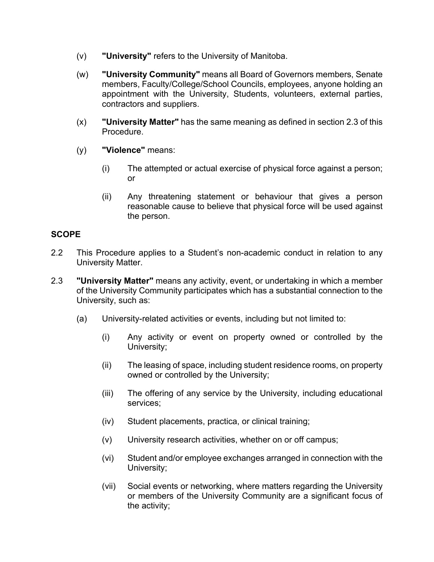- (v) **"University"** refers to the University of Manitoba.
- (w) **"University Community"** means all Board of Governors members, Senate members, Faculty/College/School Councils, employees, anyone holding an appointment with the University, Students, volunteers, external parties, contractors and suppliers.
- (x) **"University Matter"** has the same meaning as defined in section 2.3 of this Procedure.
- (y) **"Violence"** means:
	- (i) The attempted or actual exercise of physical force against a person; or
	- (ii) Any threatening statement or behaviour that gives a person reasonable cause to believe that physical force will be used against the person.

### **SCOPE**

- 2.2 This Procedure applies to a Student's non-academic conduct in relation to any University Matter.
- 2.3 **"University Matter"** means any activity, event, or undertaking in which a member of the University Community participates which has a substantial connection to the University, such as:
	- (a) University-related activities or events, including but not limited to:
		- (i) Any activity or event on property owned or controlled by the University;
		- (ii) The leasing of space, including student residence rooms, on property owned or controlled by the University;
		- (iii) The offering of any service by the University, including educational services;
		- (iv) Student placements, practica, or clinical training;
		- (v) University research activities, whether on or off campus;
		- (vi) Student and/or employee exchanges arranged in connection with the University;
		- (vii) Social events or networking, where matters regarding the University or members of the University Community are a significant focus of the activity;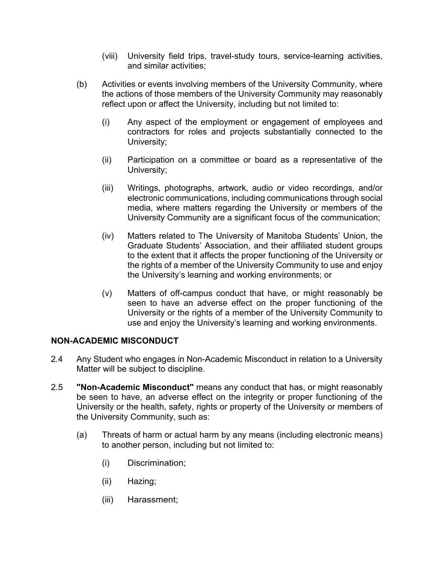- (viii) University field trips, travel-study tours, service-learning activities, and similar activities;
- (b) Activities or events involving members of the University Community, where the actions of those members of the University Community may reasonably reflect upon or affect the University, including but not limited to:
	- (i) Any aspect of the employment or engagement of employees and contractors for roles and projects substantially connected to the University;
	- (ii) Participation on a committee or board as a representative of the University;
	- (iii) Writings, photographs, artwork, audio or video recordings, and/or electronic communications, including communications through social media, where matters regarding the University or members of the University Community are a significant focus of the communication;
	- (iv) Matters related to The University of Manitoba Students' Union, the Graduate Students' Association, and their affiliated student groups to the extent that it affects the proper functioning of the University or the rights of a member of the University Community to use and enjoy the University's learning and working environments; or
	- (v) Matters of off-campus conduct that have, or might reasonably be seen to have an adverse effect on the proper functioning of the University or the rights of a member of the University Community to use and enjoy the University's learning and working environments.

# **NON-ACADEMIC MISCONDUCT**

- 2.4 Any Student who engages in Non-Academic Misconduct in relation to a University Matter will be subject to discipline.
- 2.5 **"Non-Academic Misconduct"** means any conduct that has, or might reasonably be seen to have, an adverse effect on the integrity or proper functioning of the University or the health, safety, rights or property of the University or members of the University Community, such as:
	- (a) Threats of harm or actual harm by any means (including electronic means) to another person, including but not limited to:
		- (i) Discrimination;
		- (ii) Hazing;
		- (iii) Harassment;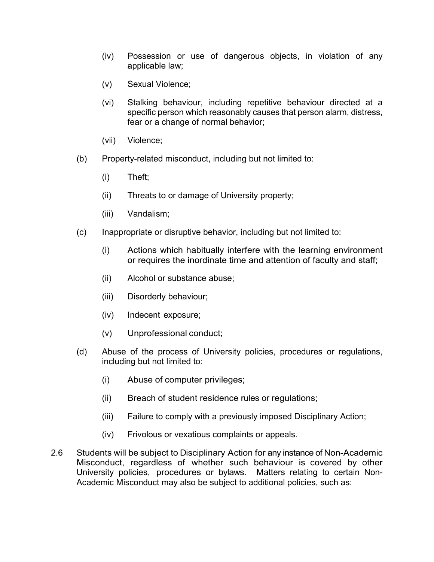- (iv) Possession or use of dangerous objects, in violation of any applicable law;
- (v) Sexual Violence;
- (vi) Stalking behaviour, including repetitive behaviour directed at a specific person which reasonably causes that person alarm, distress, fear or a change of normal behavior;
- (vii) Violence;
- (b) Property-related misconduct, including but not limited to:
	- (i) Theft;
	- (ii) Threats to or damage of University property;
	- (iii) Vandalism;
- (c) Inappropriate or disruptive behavior, including but not limited to:
	- (i) Actions which habitually interfere with the learning environment or requires the inordinate time and attention of faculty and staff;
	- (ii) Alcohol or substance abuse;
	- (iii) Disorderly behaviour;
	- (iv) Indecent exposure;
	- (v) Unprofessional conduct;
- (d) Abuse of the process of University policies, procedures or regulations, including but not limited to:
	- (i) Abuse of computer privileges;
	- (ii) Breach of student residence rules or regulations;
	- (iii) Failure to comply with a previously imposed Disciplinary Action;
	- (iv) Frivolous or vexatious complaints or appeals.
- 2.6 Students will be subject to Disciplinary Action for any instance of Non-Academic Misconduct, regardless of whether such behaviour is covered by other University policies, procedures or bylaws. Matters relating to certain Non-Academic Misconduct may also be subject to additional policies, such as: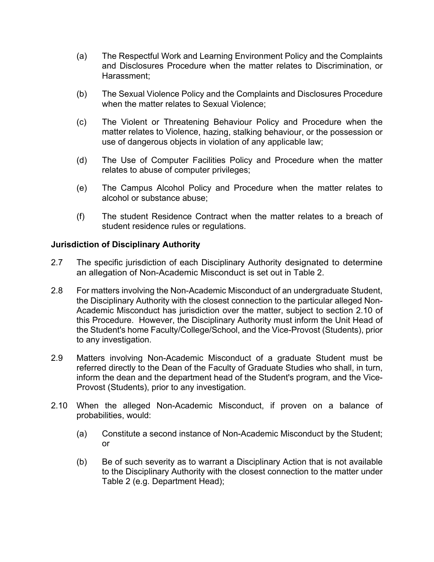- (a) The Respectful Work and Learning Environment Policy and the Complaints and Disclosures Procedure when the matter relates to Discrimination, or Harassment;
- (b) The Sexual Violence Policy and the Complaints and Disclosures Procedure when the matter relates to Sexual Violence;
- (c) The Violent or Threatening Behaviour Policy and Procedure when the matter relates to Violence, hazing, stalking behaviour, or the possession or use of dangerous objects in violation of any applicable law;
- (d) The Use of Computer Facilities Policy and Procedure when the matter relates to abuse of computer privileges;
- (e) The Campus Alcohol Policy and Procedure when the matter relates to alcohol or substance abuse;
- (f) The student Residence Contract when the matter relates to a breach of student residence rules or regulations.

# **Jurisdiction of Disciplinary Authority**

- 2.7 The specific jurisdiction of each Disciplinary Authority designated to determine an allegation of Non-Academic Misconduct is set out in Table 2.
- 2.8 For matters involving the Non-Academic Misconduct of an undergraduate Student, the Disciplinary Authority with the closest connection to the particular alleged Non-Academic Misconduct has jurisdiction over the matter, subject to section 2.10 of this Procedure. However, the Disciplinary Authority must inform the Unit Head of the Student's home Faculty/College/School, and the Vice-Provost (Students), prior to any investigation.
- 2.9 Matters involving Non-Academic Misconduct of a graduate Student must be referred directly to the Dean of the Faculty of Graduate Studies who shall, in turn, inform the dean and the department head of the Student's program, and the Vice-Provost (Students), prior to any investigation.
- 2.10 When the alleged Non-Academic Misconduct, if proven on a balance of probabilities, would:
	- (a) Constitute a second instance of Non-Academic Misconduct by the Student; or
	- (b) Be of such severity as to warrant a Disciplinary Action that is not available to the Disciplinary Authority with the closest connection to the matter under Table 2 (e.g. Department Head);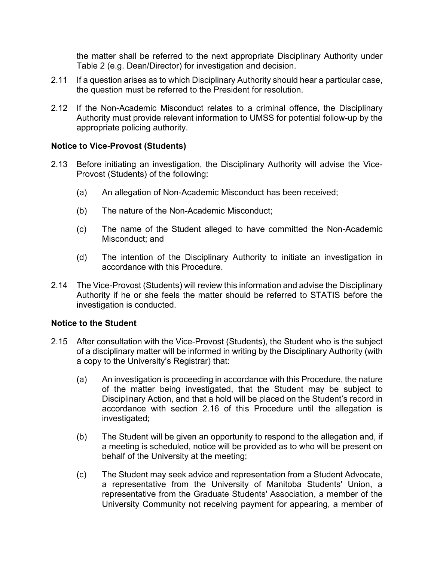the matter shall be referred to the next appropriate Disciplinary Authority under Table 2 (e.g. Dean/Director) for investigation and decision.

- 2.11 If a question arises as to which Disciplinary Authority should hear a particular case, the question must be referred to the President for resolution.
- 2.12 If the Non-Academic Misconduct relates to a criminal offence, the Disciplinary Authority must provide relevant information to UMSS for potential follow-up by the appropriate policing authority.

### **Notice to Vice-Provost (Students)**

- 2.13 Before initiating an investigation, the Disciplinary Authority will advise the Vice-Provost (Students) of the following:
	- (a) An allegation of Non-Academic Misconduct has been received;
	- (b) The nature of the Non-Academic Misconduct;
	- (c) The name of the Student alleged to have committed the Non-Academic Misconduct; and
	- (d) The intention of the Disciplinary Authority to initiate an investigation in accordance with this Procedure.
- 2.14 The Vice-Provost (Students) will review this information and advise the Disciplinary Authority if he or she feels the matter should be referred to STATIS before the investigation is conducted.

### **Notice to the Student**

- 2.15 After consultation with the Vice-Provost (Students), the Student who is the subject of a disciplinary matter will be informed in writing by the Disciplinary Authority (with a copy to the University's Registrar) that:
	- (a) An investigation is proceeding in accordance with this Procedure, the nature of the matter being investigated, that the Student may be subject to Disciplinary Action, and that a hold will be placed on the Student's record in accordance with section 2.16 of this Procedure until the allegation is investigated;
	- (b) The Student will be given an opportunity to respond to the allegation and, if a meeting is scheduled, notice will be provided as to who will be present on behalf of the University at the meeting;
	- (c) The Student may seek advice and representation from a Student Advocate, a representative from the University of Manitoba Students' Union, a representative from the Graduate Students' Association, a member of the University Community not receiving payment for appearing, a member of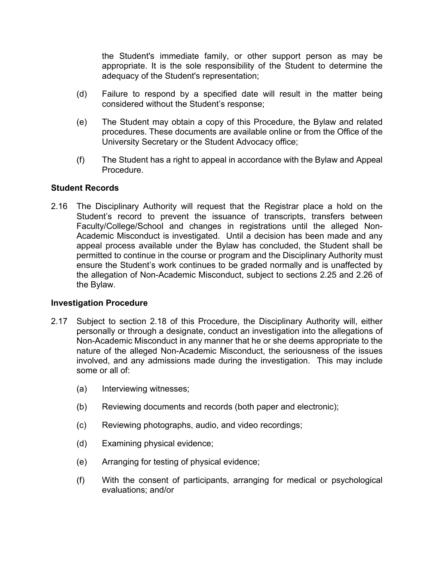the Student's immediate family, or other support person as may be appropriate. It is the sole responsibility of the Student to determine the adequacy of the Student's representation;

- (d) Failure to respond by a specified date will result in the matter being considered without the Student's response;
- (e) The Student may obtain a copy of this Procedure, the Bylaw and related procedures. These documents are available online or from the Office of the University Secretary or the Student Advocacy office;
- (f) The Student has a right to appeal in accordance with the Bylaw and Appeal Procedure.

### **Student Records**

2.16 The Disciplinary Authority will request that the Registrar place a hold on the Student's record to prevent the issuance of transcripts, transfers between Faculty/College/School and changes in registrations until the alleged Non-Academic Misconduct is investigated. Until a decision has been made and any appeal process available under the Bylaw has concluded, the Student shall be permitted to continue in the course or program and the Disciplinary Authority must ensure the Student's work continues to be graded normally and is unaffected by the allegation of Non-Academic Misconduct, subject to sections 2.25 and 2.26 of the Bylaw.

### **Investigation Procedure**

- 2.17 Subject to section 2.18 of this Procedure, the Disciplinary Authority will, either personally or through a designate, conduct an investigation into the allegations of Non-Academic Misconduct in any manner that he or she deems appropriate to the nature of the alleged Non-Academic Misconduct, the seriousness of the issues involved, and any admissions made during the investigation. This may include some or all of:
	- (a) Interviewing witnesses;
	- (b) Reviewing documents and records (both paper and electronic);
	- (c) Reviewing photographs, audio, and video recordings;
	- (d) Examining physical evidence;
	- (e) Arranging for testing of physical evidence;
	- (f) With the consent of participants, arranging for medical or psychological evaluations; and/or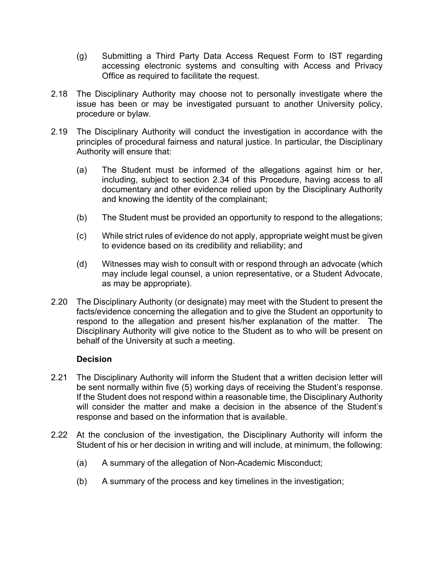- (g) Submitting a Third Party Data Access Request Form to IST regarding accessing electronic systems and consulting with Access and Privacy Office as required to facilitate the request.
- 2.18 The Disciplinary Authority may choose not to personally investigate where the issue has been or may be investigated pursuant to another University policy, procedure or bylaw.
- 2.19 The Disciplinary Authority will conduct the investigation in accordance with the principles of procedural fairness and natural justice. In particular, the Disciplinary Authority will ensure that:
	- (a) The Student must be informed of the allegations against him or her, including, subject to section [2.34](#page-12-0) of this Procedure, having access to all documentary and other evidence relied upon by the Disciplinary Authority and knowing the identity of the complainant;
	- (b) The Student must be provided an opportunity to respond to the allegations;
	- (c) While strict rules of evidence do not apply, appropriate weight must be given to evidence based on its credibility and reliability; and
	- (d) Witnesses may wish to consult with or respond through an advocate (which may include legal counsel, a union representative, or a Student Advocate, as may be appropriate).
- 2.20 The Disciplinary Authority (or designate) may meet with the Student to present the facts/evidence concerning the allegation and to give the Student an opportunity to respond to the allegation and present his/her explanation of the matter. The Disciplinary Authority will give notice to the Student as to who will be present on behalf of the University at such a meeting.

### **Decision**

- 2.21 The Disciplinary Authority will inform the Student that a written decision letter will be sent normally within five (5) working days of receiving the Student's response. If the Student does not respond within a reasonable time, the Disciplinary Authority will consider the matter and make a decision in the absence of the Student's response and based on the information that is available.
- 2.22 At the conclusion of the investigation, the Disciplinary Authority will inform the Student of his or her decision in writing and will include, at minimum, the following:
	- (a) A summary of the allegation of Non-Academic Misconduct;
	- (b) A summary of the process and key timelines in the investigation;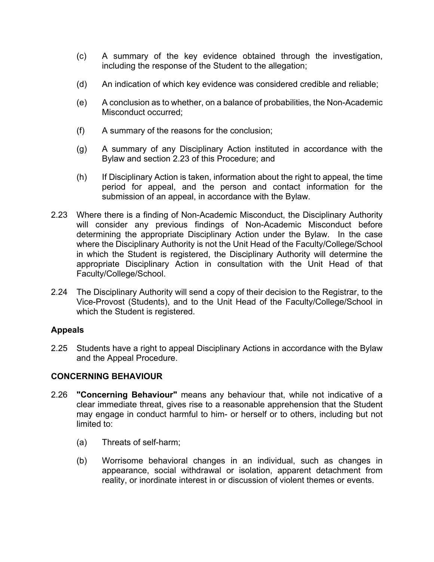- (c) A summary of the key evidence obtained through the investigation, including the response of the Student to the allegation;
- (d) An indication of which key evidence was considered credible and reliable;
- (e) A conclusion as to whether, on a balance of probabilities, the Non-Academic Misconduct occurred;
- (f) A summary of the reasons for the conclusion;
- (g) A summary of any Disciplinary Action instituted in accordance with the Bylaw and section 2.23 of this Procedure; and
- (h) If Disciplinary Action is taken, information about the right to appeal, the time period for appeal, and the person and contact information for the submission of an appeal, in accordance with the Bylaw.
- 2.23 Where there is a finding of Non-Academic Misconduct, the Disciplinary Authority will consider any previous findings of Non-Academic Misconduct before determining the appropriate Disciplinary Action under the Bylaw. In the case where the Disciplinary Authority is not the Unit Head of the Faculty/College/School in which the Student is registered, the Disciplinary Authority will determine the appropriate Disciplinary Action in consultation with the Unit Head of that Faculty/College/School.
- 2.24 The Disciplinary Authority will send a copy of their decision to the Registrar, to the Vice-Provost (Students), and to the Unit Head of the Faculty/College/School in which the Student is registered.

# **Appeals**

2.25 Students have a right to appeal Disciplinary Actions in accordance with the Bylaw and the Appeal Procedure.

### **CONCERNING BEHAVIOUR**

- 2.26 **"Concerning Behaviour"** means any behaviour that, while not indicative of a clear immediate threat, gives rise to a reasonable apprehension that the Student may engage in conduct harmful to him- or herself or to others, including but not limited to:
	- (a) Threats of self-harm;
	- (b) Worrisome behavioral changes in an individual, such as changes in appearance, social withdrawal or isolation, apparent detachment from reality, or inordinate interest in or discussion of violent themes or events.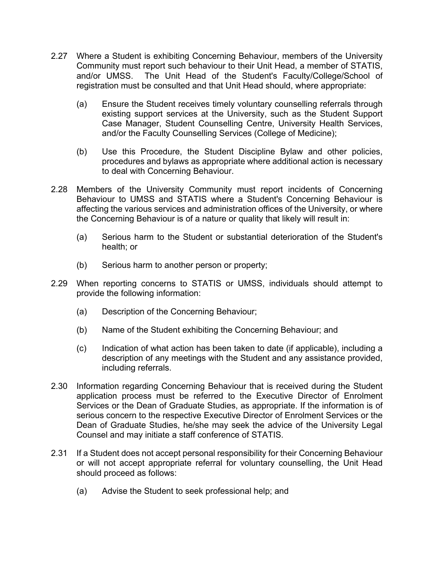- 2.27 Where a Student is exhibiting Concerning Behaviour, members of the University Community must report such behaviour to their Unit Head, a member of STATIS, and/or UMSS. The Unit Head of the Student's Faculty/College/School of registration must be consulted and that Unit Head should, where appropriate:
	- (a) Ensure the Student receives timely voluntary counselling referrals through existing support services at the University, such as the Student Support Case Manager, Student Counselling Centre, University Health Services, and/or the Faculty Counselling Services (College of Medicine);
	- (b) Use this Procedure, the Student Discipline Bylaw and other policies, procedures and bylaws as appropriate where additional action is necessary to deal with Concerning Behaviour.
- 2.28 Members of the University Community must report incidents of Concerning Behaviour to UMSS and STATIS where a Student's Concerning Behaviour is affecting the various services and administration offices of the University, or where the Concerning Behaviour is of a nature or quality that likely will result in:
	- (a) Serious harm to the Student or substantial deterioration of the Student's health; or
	- (b) Serious harm to another person or property;
- 2.29 When reporting concerns to STATIS or UMSS, individuals should attempt to provide the following information:
	- (a) Description of the Concerning Behaviour;
	- (b) Name of the Student exhibiting the Concerning Behaviour; and
	- (c) Indication of what action has been taken to date (if applicable), including a description of any meetings with the Student and any assistance provided, including referrals.
- 2.30 Information regarding Concerning Behaviour that is received during the Student application process must be referred to the Executive Director of Enrolment Services or the Dean of Graduate Studies, as appropriate. If the information is of serious concern to the respective Executive Director of Enrolment Services or the Dean of Graduate Studies, he/she may seek the advice of the University Legal Counsel and may initiate a staff conference of STATIS.
- 2.31 If a Student does not accept personal responsibility for their Concerning Behaviour or will not accept appropriate referral for voluntary counselling, the Unit Head should proceed as follows:
	- (a) Advise the Student to seek professional help; and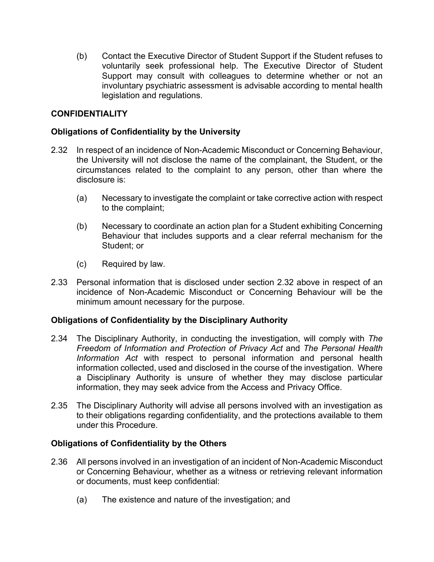(b) Contact the Executive Director of Student Support if the Student refuses to voluntarily seek professional help. The Executive Director of Student Support may consult with colleagues to determine whether or not an involuntary psychiatric assessment is advisable according to mental health legislation and regulations.

# **CONFIDENTIALITY**

# **Obligations of Confidentiality by the University**

- 2.32 In respect of an incidence of Non-Academic Misconduct or Concerning Behaviour, the University will not disclose the name of the complainant, the Student, or the circumstances related to the complaint to any person, other than where the disclosure is:
	- (a) Necessary to investigate the complaint or take corrective action with respect to the complaint;
	- (b) Necessary to coordinate an action plan for a Student exhibiting Concerning Behaviour that includes supports and a clear referral mechanism for the Student; or
	- (c) Required by law.
- 2.33 Personal information that is disclosed under section 2.32 above in respect of an incidence of Non-Academic Misconduct or Concerning Behaviour will be the minimum amount necessary for the purpose.

### **Obligations of Confidentiality by the Disciplinary Authority**

- <span id="page-12-0"></span>2.34 The Disciplinary Authority, in conducting the investigation, will comply with *The Freedom of Information and Protection of Privacy Act* and *The Personal Health Information Act* with respect to personal information and personal health information collected, used and disclosed in the course of the investigation. Where a Disciplinary Authority is unsure of whether they may disclose particular information, they may seek advice from the Access and Privacy Office.
- 2.35 The Disciplinary Authority will advise all persons involved with an investigation as to their obligations regarding confidentiality, and the protections available to them under this Procedure.

### **Obligations of Confidentiality by the Others**

- 2.36 All persons involved in an investigation of an incident of Non-Academic Misconduct or Concerning Behaviour, whether as a witness or retrieving relevant information or documents, must keep confidential:
	- (a) The existence and nature of the investigation; and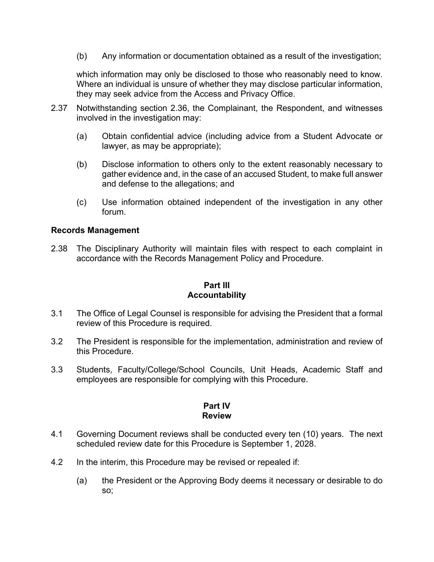(b) Any information or documentation obtained as a result of the investigation;

which information may only be disclosed to those who reasonably need to know. Where an individual is unsure of whether they may disclose particular information, they may seek advice from the Access and Privacy Office.

- 2.37 Notwithstanding section 2.36, the Complainant, the Respondent, and witnesses involved in the investigation may:
	- (a) Obtain confidential advice (including advice from a Student Advocate or lawyer, as may be appropriate);
	- (b) Disclose information to others only to the extent reasonably necessary to gather evidence and, in the case of an accused Student, to make full answer and defense to the allegations; and
	- (c) Use information obtained independent of the investigation in any other forum.

# **Records Management**

2.38 The Disciplinary Authority will maintain files with respect to each complaint in accordance with the Records Management Policy and Procedure.

# **Part III Accountability**

- 3.1 The Office of Legal Counsel is responsible for advising the President that a formal review of this Procedure is required.
- 3.2 The President is responsible for the implementation, administration and review of this Procedure.
- 3.3 Students, Faculty/College/School Councils, Unit Heads, Academic Staff and employees are responsible for complying with this Procedure.

#### **Part IV Review**

- 4.1 Governing Document reviews shall be conducted every ten (10) years. The next scheduled review date for this Procedure is September 1, 2028.
- 4.2 In the interim, this Procedure may be revised or repealed if:
	- (a) the President or the Approving Body deems it necessary or desirable to do so;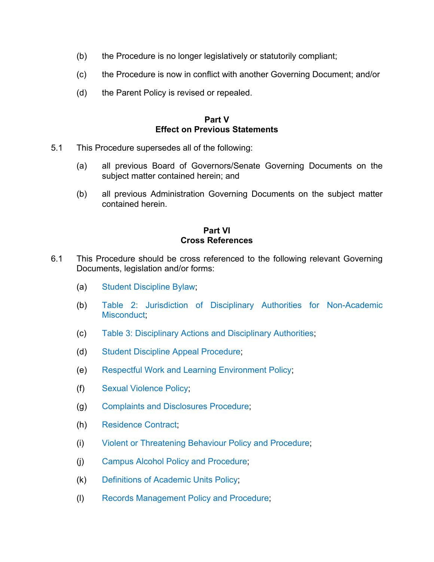- (b) the Procedure is no longer legislatively or statutorily compliant;
- (c) the Procedure is now in conflict with another Governing Document; and/or
- (d) the Parent Policy is revised or repealed.

### **Part V Effect on Previous Statements**

- 5.1 This Procedure supersedes all of the following:
	- (a) all previous Board of Governors/Senate Governing Documents on the subject matter contained herein; and
	- (b) all previous Administration Governing Documents on the subject matter contained herein.

#### **Part VI Cross References**

- 6.1 This Procedure should be cross referenced to the following relevant Governing Documents, legislation and/or forms:
	- (a) Student Discipline Bylaw;
	- (b) Table 2: Jurisdiction of Disciplinary Authorities for Non-Academic Misconduct:
	- (c) Table 3: Disciplinary Actions and Disciplinary Authorities;
	- (d) Student Discipline Appeal Procedure;
	- (e) Respectful Work and Learning Environment Policy;
	- (f) Sexual Violence Policy;
	- (g) Complaints and Disclosures Procedure;
	- (h) Residence Contract;
	- (i) Violent or Threatening Behaviour Policy and Procedure;
	- (j) Campus Alcohol Policy and Procedure;
	- (k) Definitions of Academic Units Policy;
	- (l) Records Management Policy and Procedure;